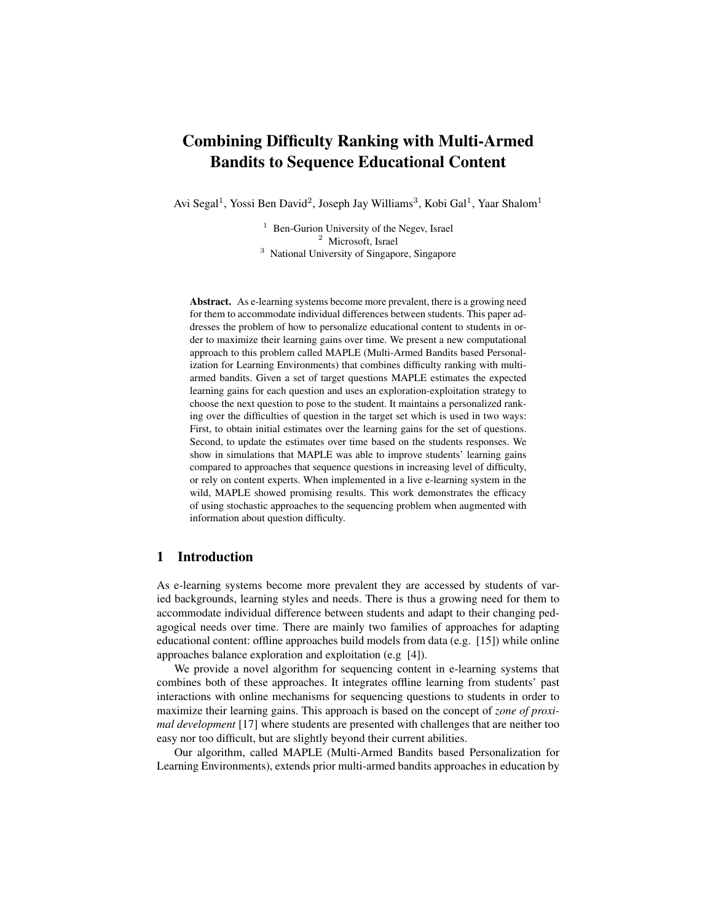# Combining Difficulty Ranking with Multi-Armed Bandits to Sequence Educational Content

Avi Segal<sup>1</sup>, Yossi Ben David<sup>2</sup>, Joseph Jay Williams<sup>3</sup>, Kobi Gal<sup>1</sup>, Yaar Shalom<sup>1</sup>

<sup>1</sup> Ben-Gurion University of the Negev, Israel <sup>2</sup> Microsoft, Israel

<sup>3</sup> National University of Singapore, Singapore

Abstract. As e-learning systems become more prevalent, there is a growing need for them to accommodate individual differences between students. This paper addresses the problem of how to personalize educational content to students in order to maximize their learning gains over time. We present a new computational approach to this problem called MAPLE (Multi-Armed Bandits based Personalization for Learning Environments) that combines difficulty ranking with multiarmed bandits. Given a set of target questions MAPLE estimates the expected learning gains for each question and uses an exploration-exploitation strategy to choose the next question to pose to the student. It maintains a personalized ranking over the difficulties of question in the target set which is used in two ways: First, to obtain initial estimates over the learning gains for the set of questions. Second, to update the estimates over time based on the students responses. We show in simulations that MAPLE was able to improve students' learning gains compared to approaches that sequence questions in increasing level of difficulty, or rely on content experts. When implemented in a live e-learning system in the wild, MAPLE showed promising results. This work demonstrates the efficacy of using stochastic approaches to the sequencing problem when augmented with information about question difficulty.

## 1 Introduction

As e-learning systems become more prevalent they are accessed by students of varied backgrounds, learning styles and needs. There is thus a growing need for them to accommodate individual difference between students and adapt to their changing pedagogical needs over time. There are mainly two families of approaches for adapting educational content: offline approaches build models from data (e.g. [15]) while online approaches balance exploration and exploitation (e.g [4]).

We provide a novel algorithm for sequencing content in e-learning systems that combines both of these approaches. It integrates offline learning from students' past interactions with online mechanisms for sequencing questions to students in order to maximize their learning gains. This approach is based on the concept of *zone of proximal development* [17] where students are presented with challenges that are neither too easy nor too difficult, but are slightly beyond their current abilities.

Our algorithm, called MAPLE (Multi-Armed Bandits based Personalization for Learning Environments), extends prior multi-armed bandits approaches in education by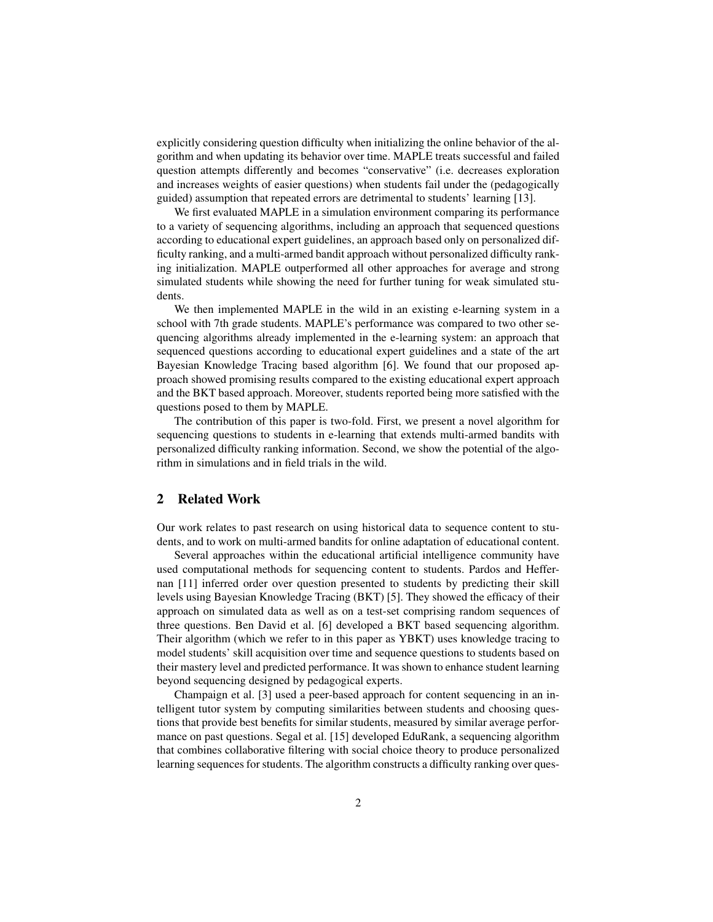explicitly considering question difficulty when initializing the online behavior of the algorithm and when updating its behavior over time. MAPLE treats successful and failed question attempts differently and becomes "conservative" (i.e. decreases exploration and increases weights of easier questions) when students fail under the (pedagogically guided) assumption that repeated errors are detrimental to students' learning [13].

We first evaluated MAPLE in a simulation environment comparing its performance to a variety of sequencing algorithms, including an approach that sequenced questions according to educational expert guidelines, an approach based only on personalized difficulty ranking, and a multi-armed bandit approach without personalized difficulty ranking initialization. MAPLE outperformed all other approaches for average and strong simulated students while showing the need for further tuning for weak simulated students.

We then implemented MAPLE in the wild in an existing e-learning system in a school with 7th grade students. MAPLE's performance was compared to two other sequencing algorithms already implemented in the e-learning system: an approach that sequenced questions according to educational expert guidelines and a state of the art Bayesian Knowledge Tracing based algorithm [6]. We found that our proposed approach showed promising results compared to the existing educational expert approach and the BKT based approach. Moreover, students reported being more satisfied with the questions posed to them by MAPLE.

The contribution of this paper is two-fold. First, we present a novel algorithm for sequencing questions to students in e-learning that extends multi-armed bandits with personalized difficulty ranking information. Second, we show the potential of the algorithm in simulations and in field trials in the wild.

# 2 Related Work

Our work relates to past research on using historical data to sequence content to students, and to work on multi-armed bandits for online adaptation of educational content.

Several approaches within the educational artificial intelligence community have used computational methods for sequencing content to students. Pardos and Heffernan [11] inferred order over question presented to students by predicting their skill levels using Bayesian Knowledge Tracing (BKT) [5]. They showed the efficacy of their approach on simulated data as well as on a test-set comprising random sequences of three questions. Ben David et al. [6] developed a BKT based sequencing algorithm. Their algorithm (which we refer to in this paper as YBKT) uses knowledge tracing to model students' skill acquisition over time and sequence questions to students based on their mastery level and predicted performance. It was shown to enhance student learning beyond sequencing designed by pedagogical experts.

Champaign et al. [3] used a peer-based approach for content sequencing in an intelligent tutor system by computing similarities between students and choosing questions that provide best benefits for similar students, measured by similar average performance on past questions. Segal et al. [15] developed EduRank, a sequencing algorithm that combines collaborative filtering with social choice theory to produce personalized learning sequences for students. The algorithm constructs a difficulty ranking over ques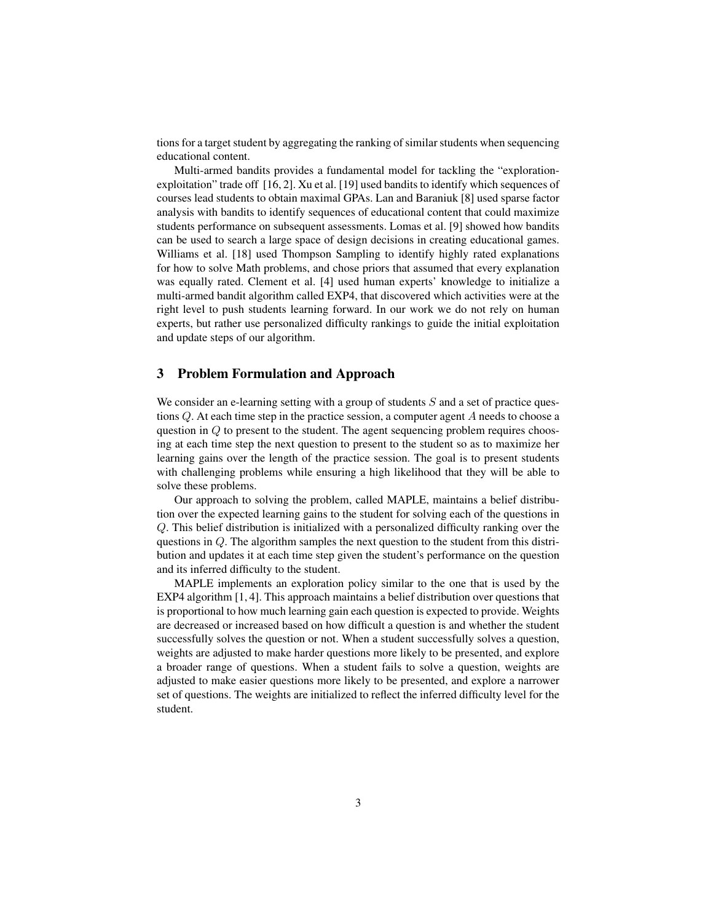tions for a target student by aggregating the ranking of similar students when sequencing educational content.

Multi-armed bandits provides a fundamental model for tackling the "explorationexploitation" trade off [16, 2]. Xu et al. [19] used bandits to identify which sequences of courses lead students to obtain maximal GPAs. Lan and Baraniuk [8] used sparse factor analysis with bandits to identify sequences of educational content that could maximize students performance on subsequent assessments. Lomas et al. [9] showed how bandits can be used to search a large space of design decisions in creating educational games. Williams et al. [18] used Thompson Sampling to identify highly rated explanations for how to solve Math problems, and chose priors that assumed that every explanation was equally rated. Clement et al. [4] used human experts' knowledge to initialize a multi-armed bandit algorithm called EXP4, that discovered which activities were at the right level to push students learning forward. In our work we do not rely on human experts, but rather use personalized difficulty rankings to guide the initial exploitation and update steps of our algorithm.

### 3 Problem Formulation and Approach

We consider an e-learning setting with a group of students  $S$  and a set of practice questions Q. At each time step in the practice session, a computer agent A needs to choose a question in  $Q$  to present to the student. The agent sequencing problem requires choosing at each time step the next question to present to the student so as to maximize her learning gains over the length of the practice session. The goal is to present students with challenging problems while ensuring a high likelihood that they will be able to solve these problems.

Our approach to solving the problem, called MAPLE, maintains a belief distribution over the expected learning gains to the student for solving each of the questions in Q. This belief distribution is initialized with a personalized difficulty ranking over the questions in  $Q$ . The algorithm samples the next question to the student from this distribution and updates it at each time step given the student's performance on the question and its inferred difficulty to the student.

MAPLE implements an exploration policy similar to the one that is used by the EXP4 algorithm [1, 4]. This approach maintains a belief distribution over questions that is proportional to how much learning gain each question is expected to provide. Weights are decreased or increased based on how difficult a question is and whether the student successfully solves the question or not. When a student successfully solves a question, weights are adjusted to make harder questions more likely to be presented, and explore a broader range of questions. When a student fails to solve a question, weights are adjusted to make easier questions more likely to be presented, and explore a narrower set of questions. The weights are initialized to reflect the inferred difficulty level for the student.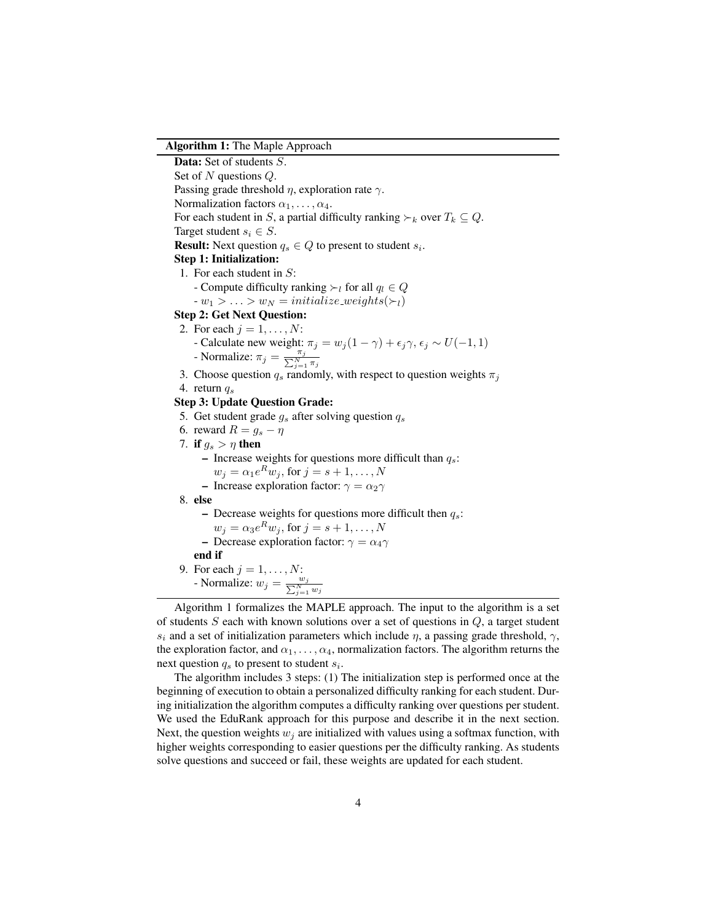#### Algorithm 1: The Maple Approach

Data: Set of students S. Set of N questions Q. Passing grade threshold  $\eta$ , exploration rate  $\gamma$ . Normalization factors  $\alpha_1, \ldots, \alpha_4$ . For each student in S, a partial difficulty ranking  $\succ_k$  over  $T_k \subseteq Q$ . Target student  $s_i \in S$ . **Result:** Next question  $q_s \in Q$  to present to student  $s_i$ . Step 1: Initialization: 1. For each student in S: - Compute difficulty ranking  $\succ_l$  for all  $q_l \in Q$  $-w_1 > \ldots > w_N =$  initialize\_weights( $\succ_l$ ) Step 2: Get Next Question: 2. For each  $j = 1, \ldots, N$ : - Calculate new weight:  $\pi_j = w_j (1 - \gamma) + \epsilon_j \gamma$ ,  $\epsilon_j \sim U(-1, 1)$ - Normalize:  $\pi_j = \frac{\pi_j}{\sum_{j=1}^N \pi_j}$ 3. Choose question  $q_s$  randomly, with respect to question weights  $\pi_j$ 4. return  $q_s$ Step 3: Update Question Grade: 5. Get student grade  $g_s$  after solving question  $q_s$ 6. reward  $R = g_s - \eta$ 7. if  $g_s > \eta$  then – Increase weights for questions more difficult than  $q_s$ :  $w_j = \alpha_1 e^R w_j$ , for  $j = s + 1, \ldots, N$ – Increase exploration factor:  $\gamma = \alpha_2 \gamma$ 8. else – Decrease weights for questions more difficult then  $q_s$ :  $w_j = \alpha_3 e^R w_j$ , for  $j = s + 1, \ldots, N$ – Decrease exploration factor:  $\gamma = \alpha_4 \gamma$ end if 9. For each  $j = 1, \ldots, N$ : - Normalize:  $w_j = \frac{w_j}{\sum_{j=1}^N w_j}$ 

Algorithm 1 formalizes the MAPLE approach. The input to the algorithm is a set of students  $S$  each with known solutions over a set of questions in  $Q$ , a target student s<sub>i</sub> and a set of initialization parameters which include  $\eta$ , a passing grade threshold,  $\gamma$ , the exploration factor, and  $\alpha_1, \ldots, \alpha_4$ , normalization factors. The algorithm returns the next question  $q_s$  to present to student  $s_i$ .

The algorithm includes 3 steps: (1) The initialization step is performed once at the beginning of execution to obtain a personalized difficulty ranking for each student. During initialization the algorithm computes a difficulty ranking over questions per student. We used the EduRank approach for this purpose and describe it in the next section. Next, the question weights  $w_i$  are initialized with values using a softmax function, with higher weights corresponding to easier questions per the difficulty ranking. As students solve questions and succeed or fail, these weights are updated for each student.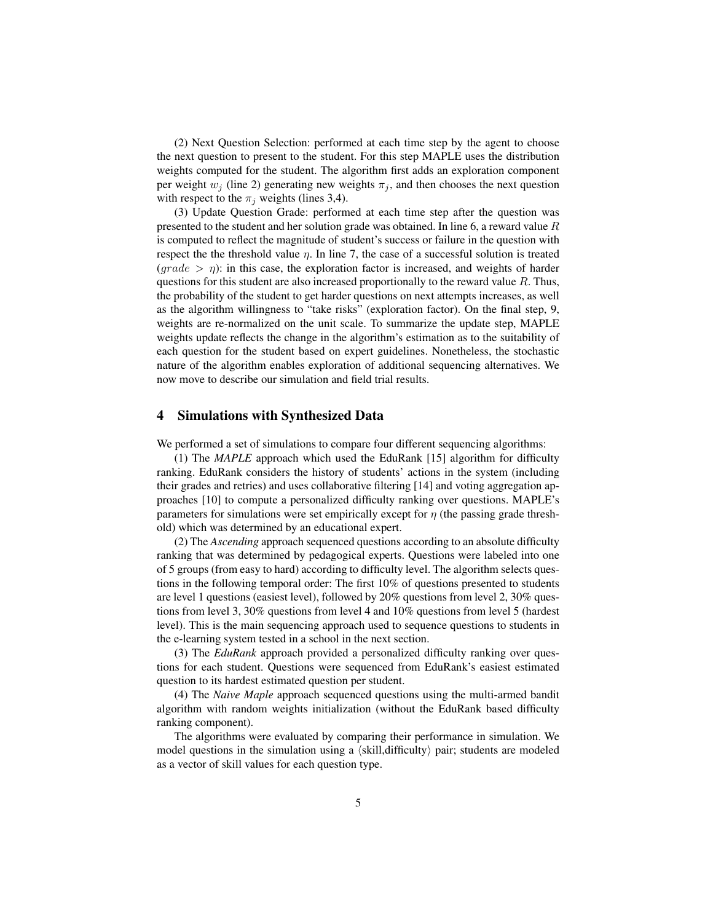(2) Next Question Selection: performed at each time step by the agent to choose the next question to present to the student. For this step MAPLE uses the distribution weights computed for the student. The algorithm first adds an exploration component per weight  $w_j$  (line 2) generating new weights  $\pi_j$ , and then chooses the next question with respect to the  $\pi_j$  weights (lines 3,4).

(3) Update Question Grade: performed at each time step after the question was presented to the student and her solution grade was obtained. In line 6, a reward value  $R$ is computed to reflect the magnitude of student's success or failure in the question with respect the the threshold value  $\eta$ . In line 7, the case of a successful solution is treated  $(\text{grade} > \eta)$ : in this case, the exploration factor is increased, and weights of harder questions for this student are also increased proportionally to the reward value  $R$ . Thus, the probability of the student to get harder questions on next attempts increases, as well as the algorithm willingness to "take risks" (exploration factor). On the final step, 9, weights are re-normalized on the unit scale. To summarize the update step, MAPLE weights update reflects the change in the algorithm's estimation as to the suitability of each question for the student based on expert guidelines. Nonetheless, the stochastic nature of the algorithm enables exploration of additional sequencing alternatives. We now move to describe our simulation and field trial results.

# 4 Simulations with Synthesized Data

We performed a set of simulations to compare four different sequencing algorithms:

(1) The *MAPLE* approach which used the EduRank [15] algorithm for difficulty ranking. EduRank considers the history of students' actions in the system (including their grades and retries) and uses collaborative filtering [14] and voting aggregation approaches [10] to compute a personalized difficulty ranking over questions. MAPLE's parameters for simulations were set empirically except for  $\eta$  (the passing grade threshold) which was determined by an educational expert.

(2) The *Ascending* approach sequenced questions according to an absolute difficulty ranking that was determined by pedagogical experts. Questions were labeled into one of 5 groups (from easy to hard) according to difficulty level. The algorithm selects questions in the following temporal order: The first 10% of questions presented to students are level 1 questions (easiest level), followed by 20% questions from level 2, 30% questions from level 3, 30% questions from level 4 and 10% questions from level 5 (hardest level). This is the main sequencing approach used to sequence questions to students in the e-learning system tested in a school in the next section.

(3) The *EduRank* approach provided a personalized difficulty ranking over questions for each student. Questions were sequenced from EduRank's easiest estimated question to its hardest estimated question per student.

(4) The *Naive Maple* approach sequenced questions using the multi-armed bandit algorithm with random weights initialization (without the EduRank based difficulty ranking component).

The algorithms were evaluated by comparing their performance in simulation. We model questions in the simulation using a  $\langle$ skill,difficulty $\rangle$  pair; students are modeled as a vector of skill values for each question type.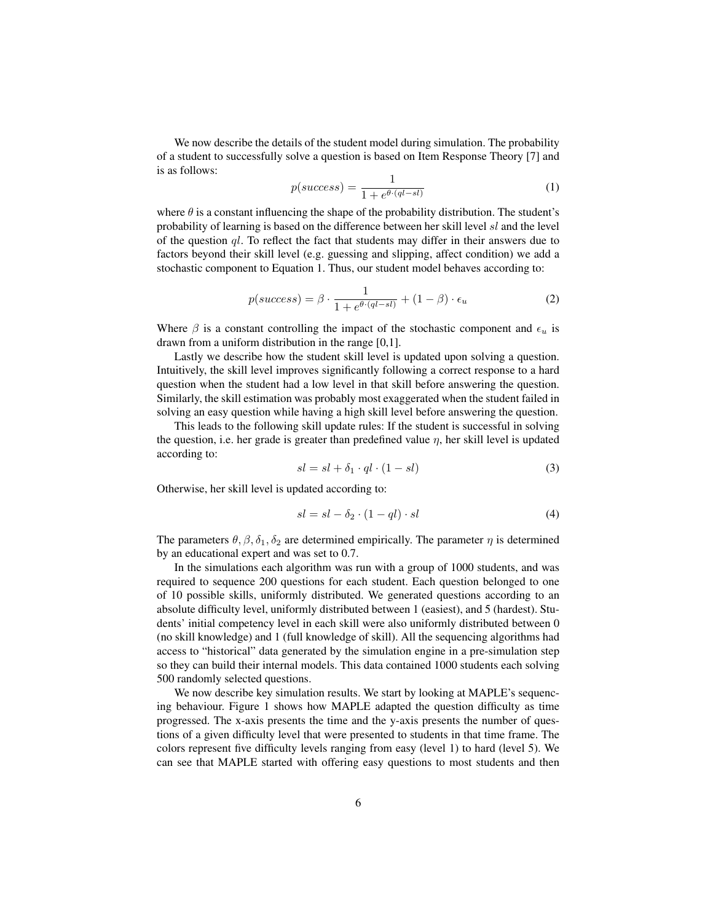We now describe the details of the student model during simulation. The probability of a student to successfully solve a question is based on Item Response Theory [7] and is as follows:

$$
p(success) = \frac{1}{1 + e^{\theta \cdot (ql - sl)}}\tag{1}
$$

where  $\theta$  is a constant influencing the shape of the probability distribution. The student's probability of learning is based on the difference between her skill level sl and the level of the question  $q_l$ . To reflect the fact that students may differ in their answers due to factors beyond their skill level (e.g. guessing and slipping, affect condition) we add a stochastic component to Equation 1. Thus, our student model behaves according to:

$$
p(success) = \beta \cdot \frac{1}{1 + e^{\theta \cdot (ql - sl)}} + (1 - \beta) \cdot \epsilon_u \tag{2}
$$

Where  $\beta$  is a constant controlling the impact of the stochastic component and  $\epsilon_u$  is drawn from a uniform distribution in the range [0,1].

Lastly we describe how the student skill level is updated upon solving a question. Intuitively, the skill level improves significantly following a correct response to a hard question when the student had a low level in that skill before answering the question. Similarly, the skill estimation was probably most exaggerated when the student failed in solving an easy question while having a high skill level before answering the question.

This leads to the following skill update rules: If the student is successful in solving the question, i.e. her grade is greater than predefined value  $\eta$ , her skill level is updated according to:

$$
sl = sl + \delta_1 \cdot ql \cdot (1 - sl) \tag{3}
$$

Otherwise, her skill level is updated according to:

$$
sl = sl - \delta_2 \cdot (1 - ql) \cdot sl \tag{4}
$$

The parameters  $\theta$ ,  $\beta$ ,  $\delta_1$ ,  $\delta_2$  are determined empirically. The parameter  $\eta$  is determined by an educational expert and was set to 0.7.

In the simulations each algorithm was run with a group of 1000 students, and was required to sequence 200 questions for each student. Each question belonged to one of 10 possible skills, uniformly distributed. We generated questions according to an absolute difficulty level, uniformly distributed between 1 (easiest), and 5 (hardest). Students' initial competency level in each skill were also uniformly distributed between 0 (no skill knowledge) and 1 (full knowledge of skill). All the sequencing algorithms had access to "historical" data generated by the simulation engine in a pre-simulation step so they can build their internal models. This data contained 1000 students each solving 500 randomly selected questions.

We now describe key simulation results. We start by looking at MAPLE's sequencing behaviour. Figure 1 shows how MAPLE adapted the question difficulty as time progressed. The x-axis presents the time and the y-axis presents the number of questions of a given difficulty level that were presented to students in that time frame. The colors represent five difficulty levels ranging from easy (level 1) to hard (level 5). We can see that MAPLE started with offering easy questions to most students and then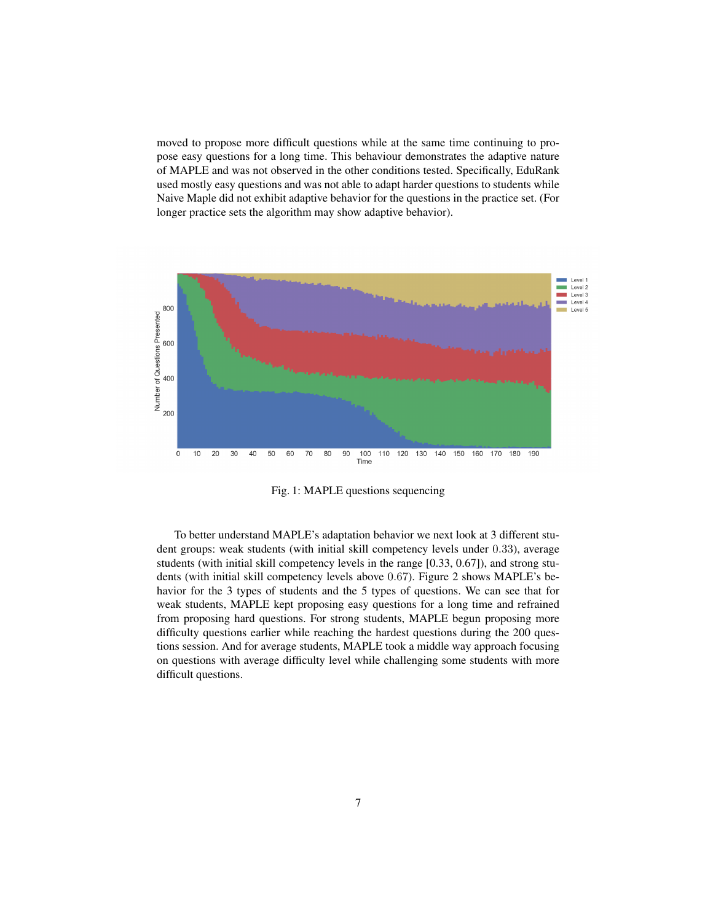moved to propose more difficult questions while at the same time continuing to propose easy questions for a long time. This behaviour demonstrates the adaptive nature of MAPLE and was not observed in the other conditions tested. Specifically, EduRank used mostly easy questions and was not able to adapt harder questions to students while Naive Maple did not exhibit adaptive behavior for the questions in the practice set. (For longer practice sets the algorithm may show adaptive behavior).



Fig. 1: MAPLE questions sequencing

To better understand MAPLE's adaptation behavior we next look at 3 different student groups: weak students (with initial skill competency levels under 0.33), average students (with initial skill competency levels in the range [0.33, 0.67]), and strong students (with initial skill competency levels above 0.67). Figure 2 shows MAPLE's behavior for the 3 types of students and the 5 types of questions. We can see that for weak students, MAPLE kept proposing easy questions for a long time and refrained from proposing hard questions. For strong students, MAPLE begun proposing more difficulty questions earlier while reaching the hardest questions during the 200 questions session. And for average students, MAPLE took a middle way approach focusing on questions with average difficulty level while challenging some students with more difficult questions.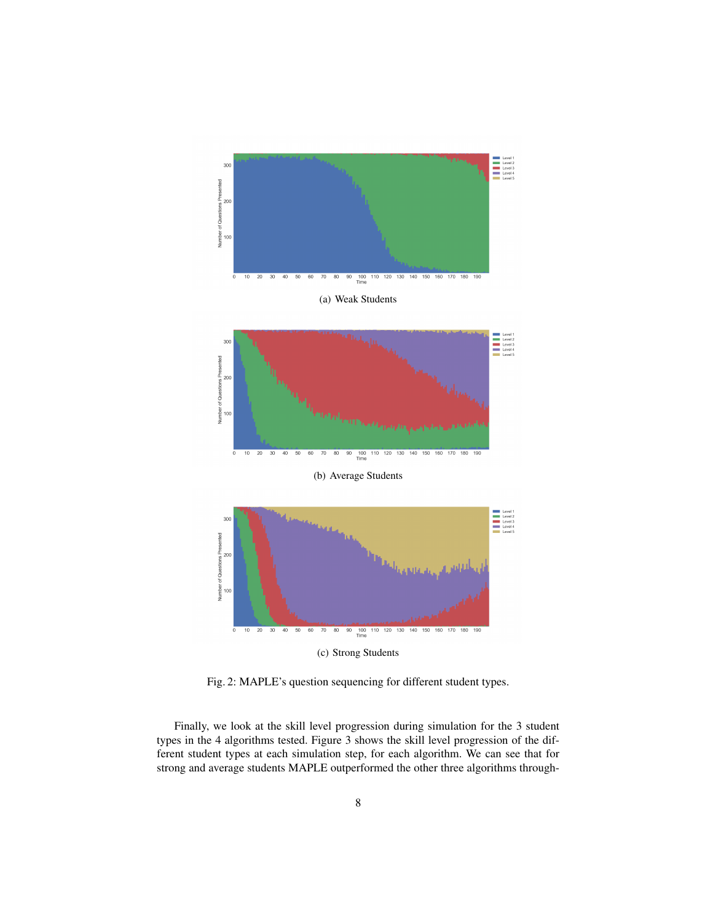

(a) Weak Students



(b) Average Students



Fig. 2: MAPLE's question sequencing for different student types.

Finally, we look at the skill level progression during simulation for the 3 student types in the 4 algorithms tested. Figure 3 shows the skill level progression of the different student types at each simulation step, for each algorithm. We can see that for strong and average students MAPLE outperformed the other three algorithms through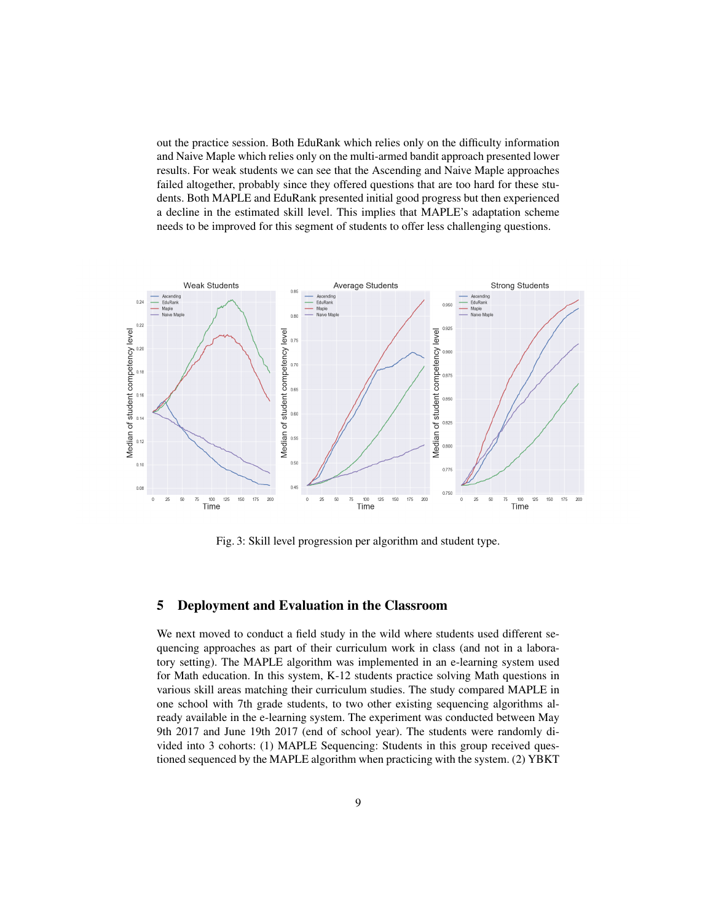out the practice session. Both EduRank which relies only on the difficulty information and Naive Maple which relies only on the multi-armed bandit approach presented lower results. For weak students we can see that the Ascending and Naive Maple approaches failed altogether, probably since they offered questions that are too hard for these students. Both MAPLE and EduRank presented initial good progress but then experienced a decline in the estimated skill level. This implies that MAPLE's adaptation scheme needs to be improved for this segment of students to offer less challenging questions.



Fig. 3: Skill level progression per algorithm and student type.

### 5 Deployment and Evaluation in the Classroom

We next moved to conduct a field study in the wild where students used different sequencing approaches as part of their curriculum work in class (and not in a laboratory setting). The MAPLE algorithm was implemented in an e-learning system used for Math education. In this system, K-12 students practice solving Math questions in various skill areas matching their curriculum studies. The study compared MAPLE in one school with 7th grade students, to two other existing sequencing algorithms already available in the e-learning system. The experiment was conducted between May 9th 2017 and June 19th 2017 (end of school year). The students were randomly divided into 3 cohorts: (1) MAPLE Sequencing: Students in this group received questioned sequenced by the MAPLE algorithm when practicing with the system. (2) YBKT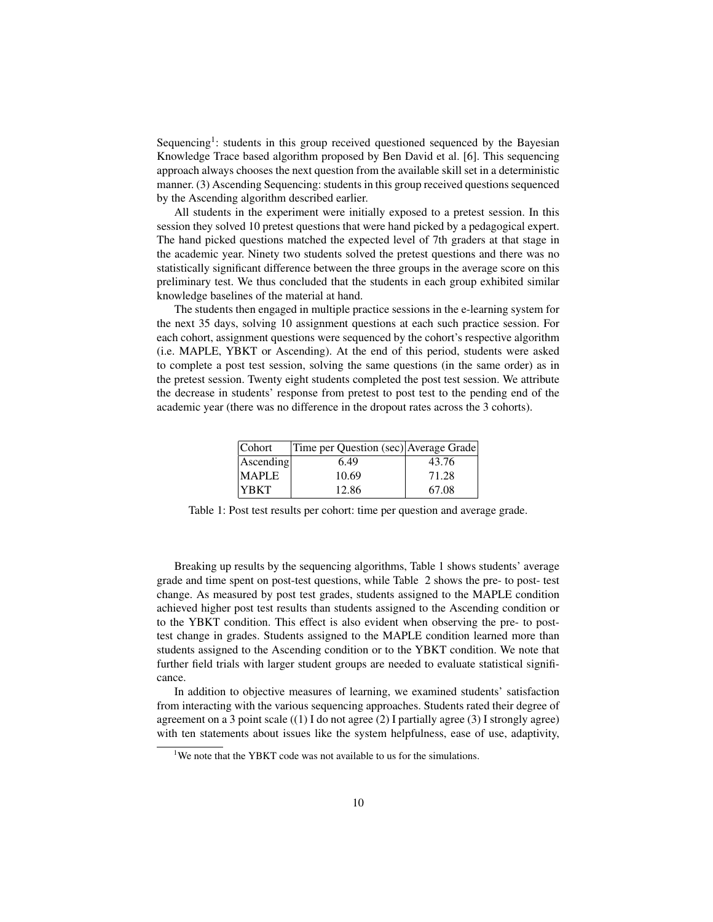Sequencing<sup>1</sup>: students in this group received questioned sequenced by the Bayesian Knowledge Trace based algorithm proposed by Ben David et al. [6]. This sequencing approach always chooses the next question from the available skill set in a deterministic manner. (3) Ascending Sequencing: students in this group received questions sequenced by the Ascending algorithm described earlier.

All students in the experiment were initially exposed to a pretest session. In this session they solved 10 pretest questions that were hand picked by a pedagogical expert. The hand picked questions matched the expected level of 7th graders at that stage in the academic year. Ninety two students solved the pretest questions and there was no statistically significant difference between the three groups in the average score on this preliminary test. We thus concluded that the students in each group exhibited similar knowledge baselines of the material at hand.

The students then engaged in multiple practice sessions in the e-learning system for the next 35 days, solving 10 assignment questions at each such practice session. For each cohort, assignment questions were sequenced by the cohort's respective algorithm (i.e. MAPLE, YBKT or Ascending). At the end of this period, students were asked to complete a post test session, solving the same questions (in the same order) as in the pretest session. Twenty eight students completed the post test session. We attribute the decrease in students' response from pretest to post test to the pending end of the academic year (there was no difference in the dropout rates across the 3 cohorts).

| Cohort       | Time per Question (sec) Average Grade |       |
|--------------|---------------------------------------|-------|
| Ascending    | 6.49                                  | 43.76 |
| <b>MAPLE</b> | 10.69                                 | 71.28 |
| <b>YBKT</b>  | 12.86                                 | 67.08 |

Table 1: Post test results per cohort: time per question and average grade.

Breaking up results by the sequencing algorithms, Table 1 shows students' average grade and time spent on post-test questions, while Table 2 shows the pre- to post- test change. As measured by post test grades, students assigned to the MAPLE condition achieved higher post test results than students assigned to the Ascending condition or to the YBKT condition. This effect is also evident when observing the pre- to posttest change in grades. Students assigned to the MAPLE condition learned more than students assigned to the Ascending condition or to the YBKT condition. We note that further field trials with larger student groups are needed to evaluate statistical significance.

In addition to objective measures of learning, we examined students' satisfaction from interacting with the various sequencing approaches. Students rated their degree of agreement on a 3 point scale  $((1)$  I do not agree  $(2)$  I partially agree  $(3)$  I strongly agree) with ten statements about issues like the system helpfulness, ease of use, adaptivity,

<sup>&</sup>lt;sup>1</sup>We note that the YBKT code was not available to us for the simulations.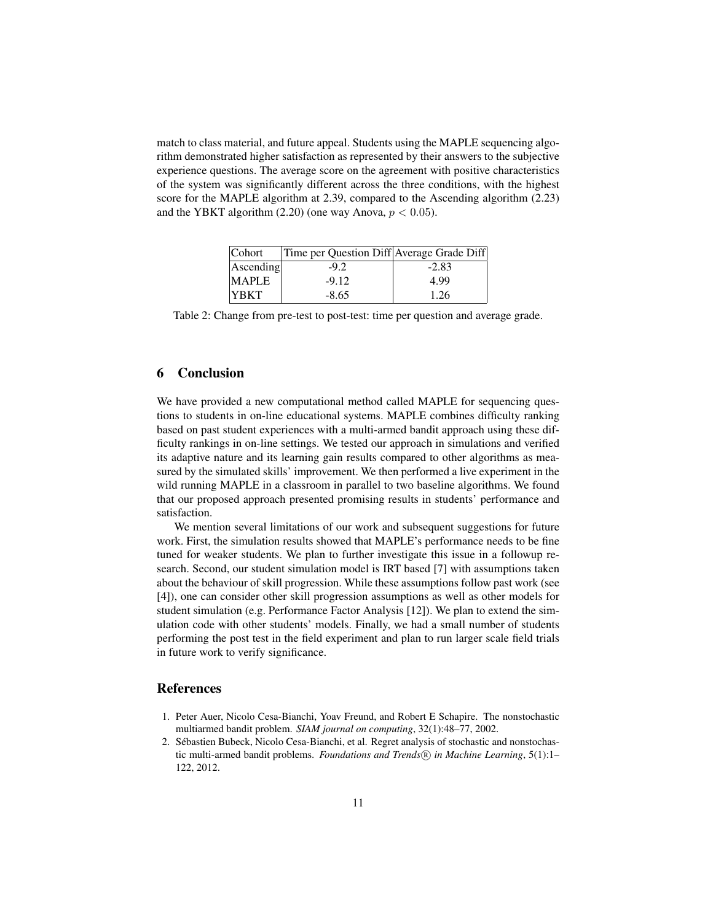match to class material, and future appeal. Students using the MAPLE sequencing algorithm demonstrated higher satisfaction as represented by their answers to the subjective experience questions. The average score on the agreement with positive characteristics of the system was significantly different across the three conditions, with the highest score for the MAPLE algorithm at 2.39, compared to the Ascending algorithm (2.23) and the YBKT algorithm (2.20) (one way Anova,  $p < 0.05$ ).

| Cohort       | Time per Question Diff Average Grade Diff |         |
|--------------|-------------------------------------------|---------|
| Ascending    | $-9.2$                                    | $-2.83$ |
| <b>MAPLE</b> | $-9.12$                                   | 4.99    |
| <b>YBKT</b>  | $-8.65$                                   | 1.26    |

Table 2: Change from pre-test to post-test: time per question and average grade.

### 6 Conclusion

We have provided a new computational method called MAPLE for sequencing questions to students in on-line educational systems. MAPLE combines difficulty ranking based on past student experiences with a multi-armed bandit approach using these difficulty rankings in on-line settings. We tested our approach in simulations and verified its adaptive nature and its learning gain results compared to other algorithms as measured by the simulated skills' improvement. We then performed a live experiment in the wild running MAPLE in a classroom in parallel to two baseline algorithms. We found that our proposed approach presented promising results in students' performance and satisfaction.

We mention several limitations of our work and subsequent suggestions for future work. First, the simulation results showed that MAPLE's performance needs to be fine tuned for weaker students. We plan to further investigate this issue in a followup research. Second, our student simulation model is IRT based [7] with assumptions taken about the behaviour of skill progression. While these assumptions follow past work (see [4]), one can consider other skill progression assumptions as well as other models for student simulation (e.g. Performance Factor Analysis [12]). We plan to extend the simulation code with other students' models. Finally, we had a small number of students performing the post test in the field experiment and plan to run larger scale field trials in future work to verify significance.

## References

- 1. Peter Auer, Nicolo Cesa-Bianchi, Yoav Freund, and Robert E Schapire. The nonstochastic multiarmed bandit problem. *SIAM journal on computing*, 32(1):48–77, 2002.
- 2. Sebastien Bubeck, Nicolo Cesa-Bianchi, et al. Regret analysis of stochastic and nonstochas- ´ tic multi-armed bandit problems. *Foundations and Trends* ( $\hat{R}$ ) in Machine Learning, 5(1):1– 122, 2012.